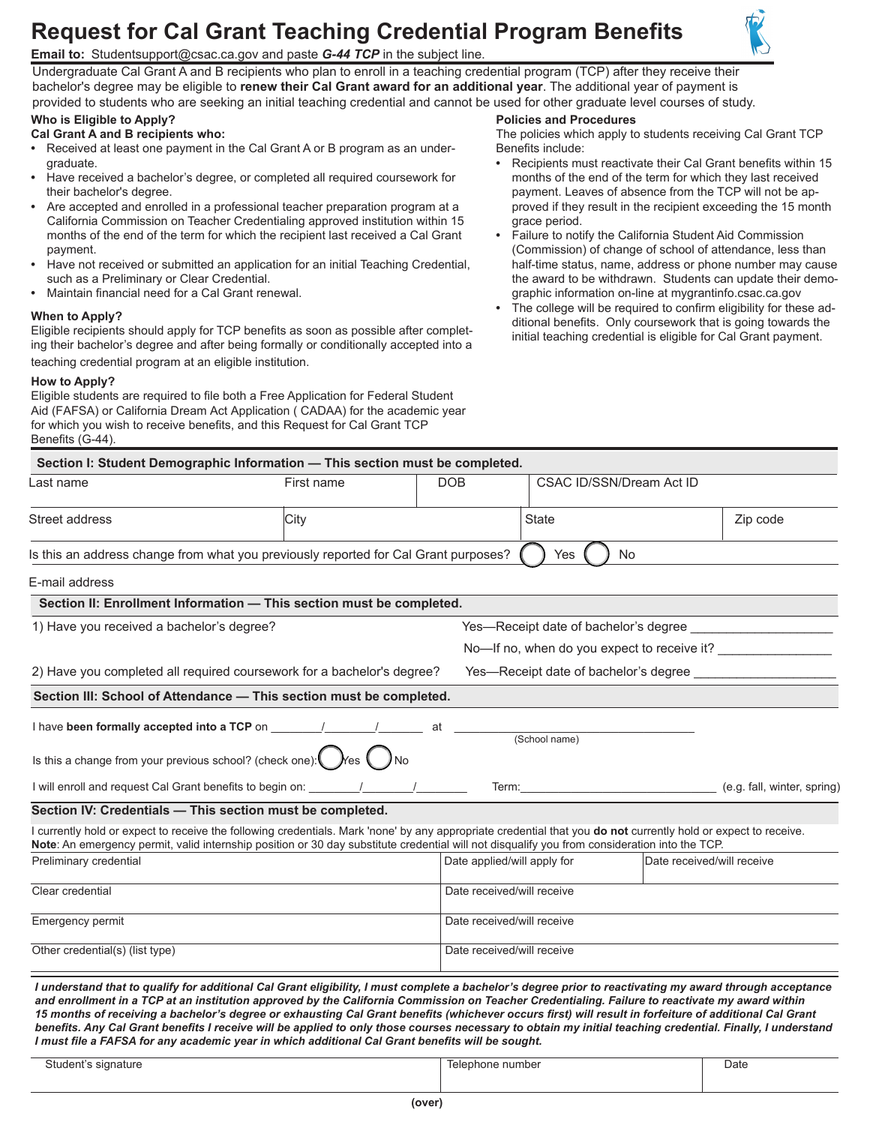# **Request for Cal Grant Teaching Credential Program Benefits**



**Email to:** [Studentsupport@csac.ca.gov](mailto:Studentsupport@csac.ca.gov) and paste *G-44 TCP* in the subject line.

Undergraduate Cal Grant A and B recipients who plan to enroll in a teaching credential program (TCP) after they receive their bachelor's degree may be eligible to **renew their Cal Grant award for an additional year**. The additional year of payment is provided to students who are seeking an initial teaching credential and cannot be used for other graduate level courses of study.

## **Who is Eligible to Apply?**

**Cal Grant A and B recipients who:** 

- **•** Received at least one payment in the Cal Grant A or B program as an undergraduate.
- **•** Have received a bachelor's degree, or completed all required coursework for their bachelor's degree.
- **•** Are accepted and enrolled in a professional teacher preparation program at a California Commission on Teacher Credentialing approved institution within 15 months of the end of the term for which the recipient last received a Cal Grant payment.
- **•** Have not received or submitted an application for an initial Teaching Credential, such as a Preliminary or Clear Credential.
- **•** Maintain financial need for a Cal Grant renewal.

### **When to Apply?**

Eligible recipients should apply for TCP benefits as soon as possible after completing their bachelor's degree and after being formally or conditionally accepted into a teaching credential program at an eligible institution.

### **How to Apply?**

Eligible students are required to file both a Free Application for Federal Student Aid (FAFSA) or California Dream Act Application ( CADAA) for the academic year for which you wish to receive benefits, and this Request for Cal Grant TCP Benefits (G-44).

### **Policies and Procedures**

The policies which apply to students receiving Cal Grant TCP Benefits include:

- **•** Recipients must reactivate their Cal Grant benefits within 15 months of the end of the term for which they last received payment. Leaves of absence from the TCP will not be approved if they result in the recipient exceeding the 15 month grace period.
- **•** Failure to notify the California Student Aid Commission (Commission) of change of school of attendance, less than half-time status, name, address or phone number may cause the award to be withdrawn. Students can update their demographic information on-line at [mygrantinfo.csac.ca.gov](www.webgrants4students.org)
- **•** The college will be required to confirm eligibility for these additional benefits. Only coursework that is going towards the initial teaching credential is eligible for Cal Grant payment.

| Section I: Student Demographic Information - This section must be completed.                                                                                                                                                                                                                                                                                                                                                                                                                                                                                                                                                                                                                                                            |            |                             |                                             |                            |          |  |
|-----------------------------------------------------------------------------------------------------------------------------------------------------------------------------------------------------------------------------------------------------------------------------------------------------------------------------------------------------------------------------------------------------------------------------------------------------------------------------------------------------------------------------------------------------------------------------------------------------------------------------------------------------------------------------------------------------------------------------------------|------------|-----------------------------|---------------------------------------------|----------------------------|----------|--|
| Last name                                                                                                                                                                                                                                                                                                                                                                                                                                                                                                                                                                                                                                                                                                                               | First name | <b>DOB</b>                  | CSAC ID/SSN/Dream Act ID                    |                            |          |  |
| Street address                                                                                                                                                                                                                                                                                                                                                                                                                                                                                                                                                                                                                                                                                                                          | City       |                             | <b>State</b>                                |                            | Zip code |  |
| Is this an address change from what you previously reported for Cal Grant purposes?                                                                                                                                                                                                                                                                                                                                                                                                                                                                                                                                                                                                                                                     |            |                             | Yes<br><b>No</b>                            |                            |          |  |
| E-mail address                                                                                                                                                                                                                                                                                                                                                                                                                                                                                                                                                                                                                                                                                                                          |            |                             |                                             |                            |          |  |
| Section II: Enrollment Information - This section must be completed.                                                                                                                                                                                                                                                                                                                                                                                                                                                                                                                                                                                                                                                                    |            |                             |                                             |                            |          |  |
| 1) Have you received a bachelor's degree?                                                                                                                                                                                                                                                                                                                                                                                                                                                                                                                                                                                                                                                                                               |            |                             | Yes—Receipt date of bachelor's degree       |                            |          |  |
|                                                                                                                                                                                                                                                                                                                                                                                                                                                                                                                                                                                                                                                                                                                                         |            |                             | No-If no, when do you expect to receive it? |                            |          |  |
| 2) Have you completed all required coursework for a bachelor's degree?<br>Yes-Receipt date of bachelor's degree                                                                                                                                                                                                                                                                                                                                                                                                                                                                                                                                                                                                                         |            |                             |                                             |                            |          |  |
| Section III: School of Attendance - This section must be completed.                                                                                                                                                                                                                                                                                                                                                                                                                                                                                                                                                                                                                                                                     |            |                             |                                             |                            |          |  |
| Is this a change from your previous school? (check one): $\bigcirc$ $\bigcirc$ $\bigcirc$ $\bigcirc$ $\bigcirc$ No                                                                                                                                                                                                                                                                                                                                                                                                                                                                                                                                                                                                                      |            |                             |                                             |                            |          |  |
|                                                                                                                                                                                                                                                                                                                                                                                                                                                                                                                                                                                                                                                                                                                                         |            |                             | Term: (e.g. fall, winter, spring)           |                            |          |  |
| Section IV: Credentials - This section must be completed.                                                                                                                                                                                                                                                                                                                                                                                                                                                                                                                                                                                                                                                                               |            |                             |                                             |                            |          |  |
| I currently hold or expect to receive the following credentials. Mark 'none' by any appropriate credential that you do not currently hold or expect to receive.<br>Note: An emergency permit, valid internship position or 30 day substitute credential will not disqualify you from consideration into the TCP.                                                                                                                                                                                                                                                                                                                                                                                                                        |            |                             |                                             |                            |          |  |
| Preliminary credential                                                                                                                                                                                                                                                                                                                                                                                                                                                                                                                                                                                                                                                                                                                  |            | Date applied/will apply for |                                             | Date received/will receive |          |  |
| Clear credential                                                                                                                                                                                                                                                                                                                                                                                                                                                                                                                                                                                                                                                                                                                        |            | Date received/will receive  |                                             |                            |          |  |
| Emergency permit                                                                                                                                                                                                                                                                                                                                                                                                                                                                                                                                                                                                                                                                                                                        |            |                             | Date received/will receive                  |                            |          |  |
| Other credential(s) (list type)                                                                                                                                                                                                                                                                                                                                                                                                                                                                                                                                                                                                                                                                                                         |            |                             | Date received/will receive                  |                            |          |  |
| I understand that to qualify for additional Cal Grant eligibility, I must complete a bachelor's degree prior to reactivating my award through acceptance<br>and enrollment in a TCP at an institution approved by the California Commission on Teacher Credentialing. Failure to reactivate my award within<br>15 months of receiving a bachelor's degree or exhausting Cal Grant benefits (whichever occurs first) will result in forfeiture of additional Cal Grant<br>benefits. Any Cal Grant benefits I receive will be applied to only those courses necessary to obtain my initial teaching credential. Finally, I understand<br>I must file a FAFSA for any academic year in which additional Cal Grant benefits will be sought. |            |                             |                                             |                            |          |  |

| Student's<br>signature<br>. . | Telephone number | Date |
|-------------------------------|------------------|------|
|                               |                  |      |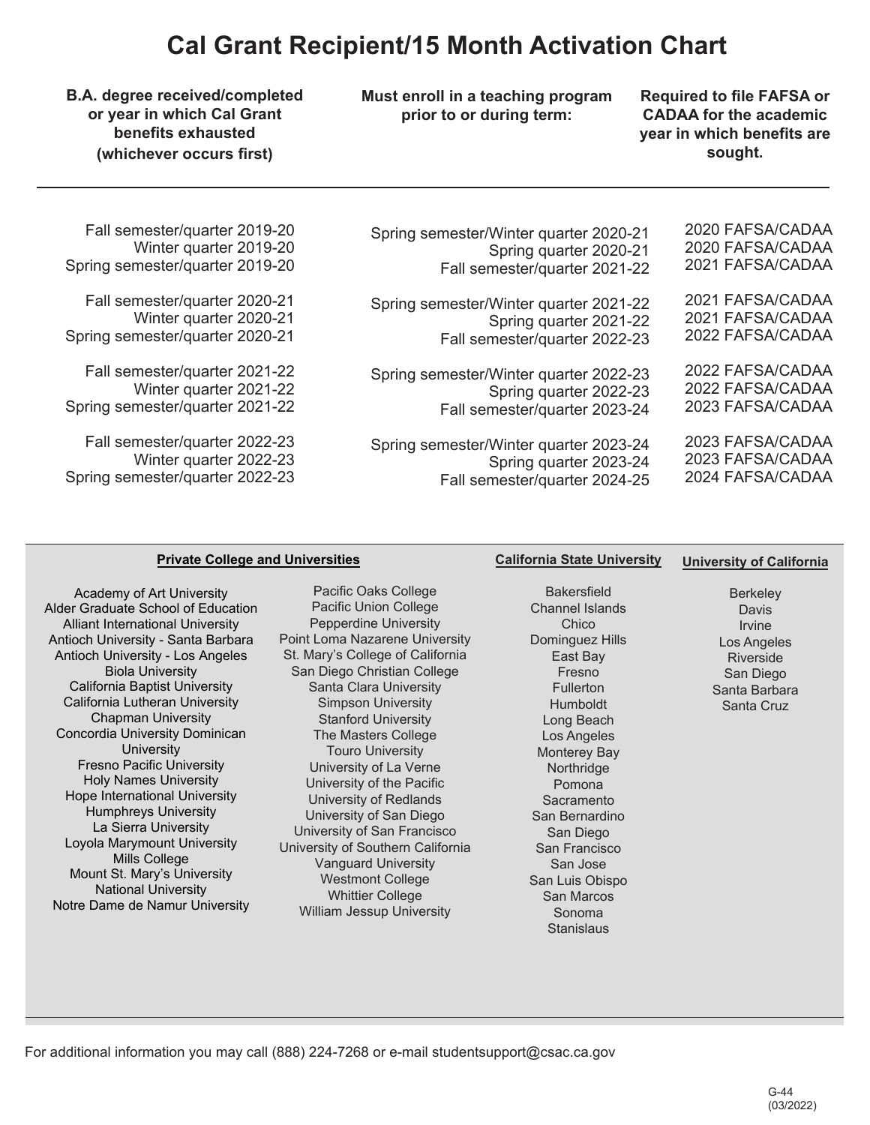# **Cal Grant Recipient/15 Month Activation Chart**

**B.A. degree received/completed Must enroll in a teaching program and Required to file FAFSA or** 

**bear in which benefits are** 

**or year in which Cal Grant prior to or during term:** CADAA for the academic<br>benefits exhausted **prior** to or during term: **CADAA** for the academic **(whichever occurs first) sought. sought. sought. sought.** 

| Spring semester/Winter quarter 2020-21 | 2020 FAFSA/CADAA |
|----------------------------------------|------------------|
| Spring quarter 2020-21                 | 2020 FAFSA/CADAA |
| Fall semester/quarter 2021-22          | 2021 FAFSA/CADAA |
| Spring semester/Winter quarter 2021-22 | 2021 FAFSA/CADAA |
| Spring quarter 2021-22                 | 2021 FAFSA/CADAA |
| Fall semester/quarter 2022-23          | 2022 FAFSA/CADAA |
| Spring semester/Winter quarter 2022-23 | 2022 FAFSA/CADAA |
| Spring quarter 2022-23                 | 2022 FAFSA/CADAA |
| Fall semester/quarter 2023-24          | 2023 FAFSA/CADAA |
| Spring semester/Winter quarter 2023-24 | 2023 FAFSA/CADAA |
| Spring quarter 2023-24                 | 2023 FAFSA/CADAA |
| Fall semester/quarter 2024-25          | 2024 FAFSA/CADAA |

Fall semester/quarter 2019-20 Winter quarter 2019-20 Spring semester/quarter 2019-20

Fall semester/quarter 2020-21 Winter quarter 2020-21 Spring semester/quarter 2020-21

 Winter quarter 2021-22 Fall semester/quarter 2021-22 Spring semester/quarter 2021-22

Fall semester/quarter 2022-23 Winter quarter 2022-23 Spring semester/quarter 2022-23

## **Private College and Universities**

Academy of Art University Alder Graduate School of Education Alliant International University Antioch University - Santa Barbara Antioch University - Los Angeles Biola University California Baptist University California Lutheran University Chapman University Concordia University Dominican **University** Fresno Pacific University Holy Names University Hope International University Humphreys University La Sierra University Loyola Marymount University Mills College Mount St. Mary's University National University Notre Dame de Namur University

Pacific Oaks College Pacific Union College Pepperdine University Point Loma Nazarene University St. Mary's College of California San Diego Christian College Santa Clara University Simpson University Stanford University The Masters College Touro University University of La Verne University of the Pacific University of Redlands University of San Diego University of San Francisco University of Southern California Vanguard University Westmont College Whittier College William Jessup University

**Bakersfield** Channel Islands Chico Dominguez Hills East Bay Fresno Fullerton Humboldt Long Beach Los Angeles Monterey Bay **Northridge** Pomona Sacramento San Bernardino San Diego San Francisco San Jose San Luis Obispo San Marcos Sonoma **Stanislaus** 

**California State University** 

**University of California** 

**Berkeley** Davis Irvine Los Angeles Riverside San Diego Santa Barbara Santa Cruz